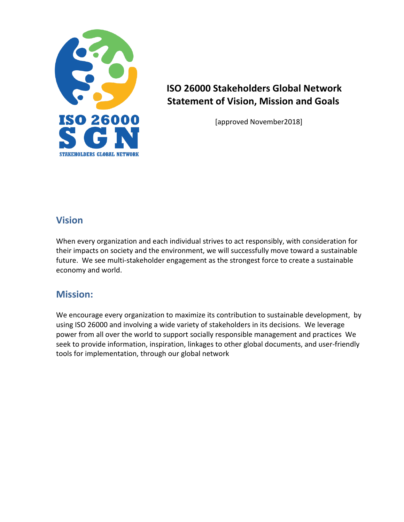

## **ISO 26000 Stakeholders Global Network Statement of Vision, Mission and Goals**

[approved November2018]

## **Vision**

When every organization and each individual strives to act responsibly, with consideration for their impacts on society and the environment, we will successfully move toward a sustainable future. We see multi-stakeholder engagement as the strongest force to create a sustainable economy and world.

## **Mission:**

We encourage every organization to maximize its contribution to sustainable development, by using ISO 26000 and involving a wide variety of stakeholders in its decisions. We leverage power from all over the world to support socially responsible management and practices We seek to provide information, inspiration, linkages to other global documents, and user-friendly tools for implementation, through our global network